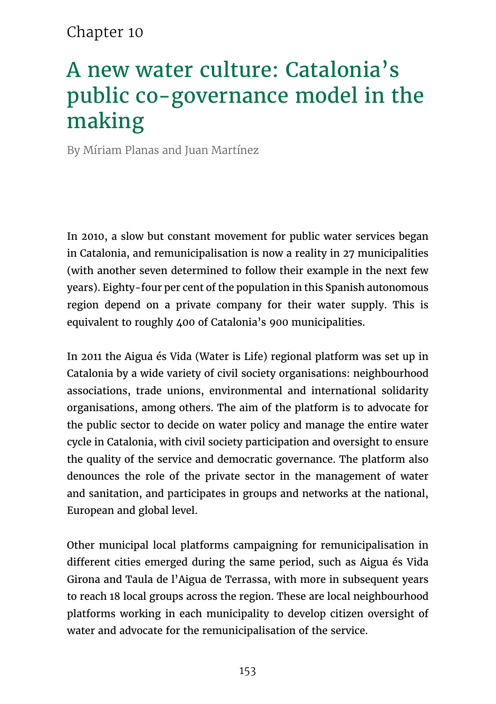#### Chapter 10

# A new water culture: Catalonia's public co-governance model in the making

By Míriam Planas and Juan Martínez

In 2010, a slow but constant movement for public water services began in Catalonia, and remunicipalisation is now a reality in 27 municipalities (with another seven determined to follow their example in the next few years). Eighty-four per cent of the population in this Spanish autonomous region depend on a private company for their water supply. This is equivalent to roughly 400 of Catalonia's 900 municipalities.

In 2011 the Aigua és Vida (Water is Life) regional platform was set up in Catalonia by a wide variety of civil society organisations: neighbourhood associations, trade unions, environmental and international solidarity organisations, among others. The aim of the platform is to advocate for the public sector to decide on water policy and manage the entire water cycle in Catalonia, with civil society participation and oversight to ensure the quality of the service and democratic governance. The platform also denounces the role of the private sector in the management of water and sanitation, and participates in groups and networks at the national, European and global level.

Other municipal local platforms campaigning for remunicipalisation in different cities emerged during the same period, such as Aigua és Vida Girona and Taula de l'Aigua de Terrassa, with more in subsequent years to reach 18 local groups across the region. These are local neighbourhood platforms working in each municipality to develop citizen oversight of water and advocate for the remunicipalisation of the service.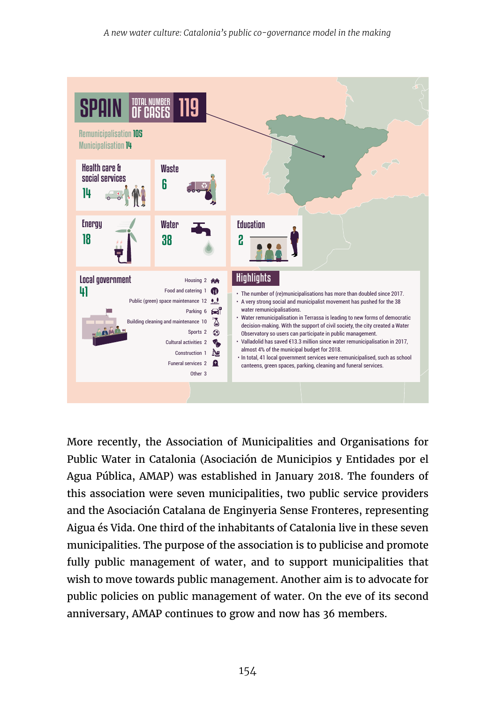

More recently, the Association of Municipalities and Organisations for Public Water in Catalonia (Asociación de Municipios y Entidades por el Agua Pública, AMAP) was established in January 2018. The founders of this association were seven municipalities, two public service providers and the Asociación Catalana de Enginyeria Sense Fronteres, representing Aigua és Vida. One third of the inhabitants of Catalonia live in these seven municipalities. The purpose of the association is to publicise and promote fully public management of water, and to support municipalities that wish to move towards public management. Another aim is to advocate for public policies on public management of water. On the eve of its second anniversary, AMAP continues to grow and now has 36 members.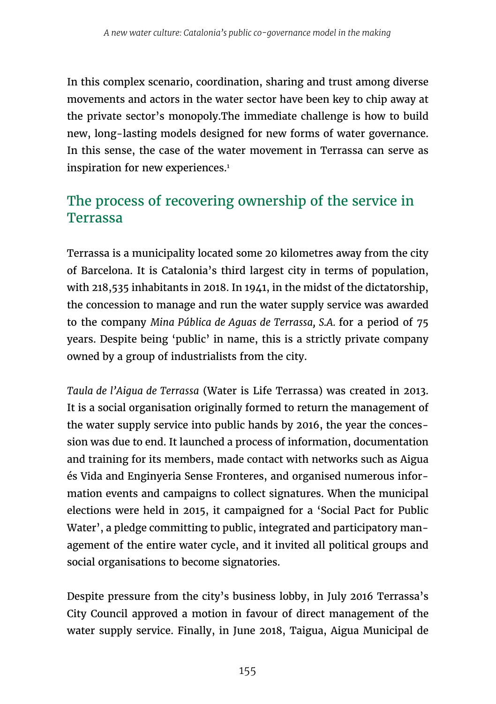In this complex scenario, coordination, sharing and trust among diverse movements and actors in the water sector have been key to chip away at the private sector's monopoly.The immediate challenge is how to build new, long-lasting models designed for new forms of water governance. In this sense, the case of the water movement in Terrassa can serve as inspiration for new experiences.<sup>1</sup>

## The process of recovering ownership of the service in Terrassa

Terrassa is a municipality located some 20 kilometres away from the city of Barcelona. It is Catalonia's third largest city in terms of population, with 218,535 inhabitants in 2018. In 1941, in the midst of the dictatorship, the concession to manage and run the water supply service was awarded to the company *Mina Pública de Aguas de Terrassa, S.A.* for a period of 75 years. Despite being 'public' in name, this is a strictly private company owned by a group of industrialists from the city.

*Taula de l'Aigua de Terrassa* (Water is Life Terrassa) was created in 2013. It is a social organisation originally formed to return the management of the water supply service into public hands by 2016, the year the concession was due to end. It launched a process of information, documentation and training for its members, made contact with networks such as Aigua és Vida and Enginyeria Sense Fronteres, and organised numerous information events and campaigns to collect signatures. When the municipal elections were held in 2015, it campaigned for a 'Social Pact for Public Water', a pledge committing to public, integrated and participatory management of the entire water cycle, and it invited all political groups and social organisations to become signatories.

Despite pressure from the city's business lobby, in July 2016 Terrassa's City Council approved a motion in favour of direct management of the water supply service. Finally, in June 2018, Taigua, Aigua Municipal de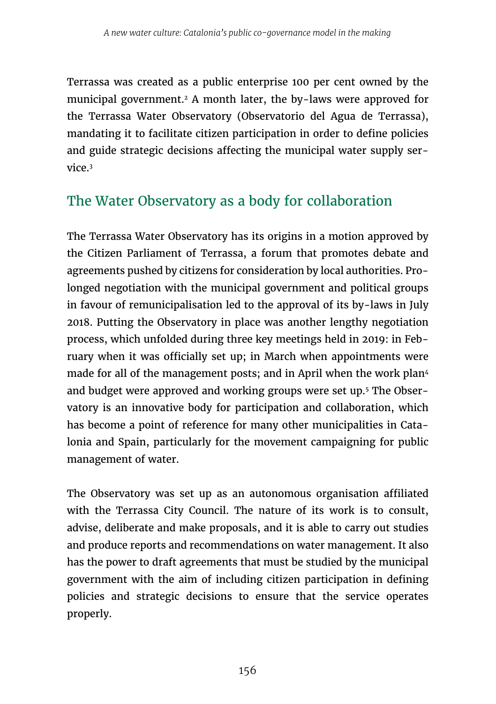Terrassa was created as a public enterprise 100 per cent owned by the municipal government.2 A month later, the by-laws were approved for the Terrassa Water Observatory (Observatorio del Agua de Terrassa), mandating it to facilitate citizen participation in order to define policies and guide strategic decisions affecting the municipal water supply service<sup>3</sup>

## The Water Observatory as a body for collaboration

The Terrassa Water Observatory has its origins in a motion approved by the Citizen Parliament of Terrassa, a forum that promotes debate and agreements pushed by citizens for consideration by local authorities. Prolonged negotiation with the municipal government and political groups in favour of remunicipalisation led to the approval of its by-laws in July 2018. Putting the Observatory in place was another lengthy negotiation process, which unfolded during three key meetings held in 2019: in February when it was officially set up; in March when appointments were made for all of the management posts; and in April when the work plan<sup>4</sup> and budget were approved and working groups were set up.<sup>5</sup> The Observatory is an innovative body for participation and collaboration, which has become a point of reference for many other municipalities in Catalonia and Spain, particularly for the movement campaigning for public management of water.

The Observatory was set up as an autonomous organisation affiliated with the Terrassa City Council. The nature of its work is to consult, advise, deliberate and make proposals, and it is able to carry out studies and produce reports and recommendations on water management. It also has the power to draft agreements that must be studied by the municipal government with the aim of including citizen participation in defining policies and strategic decisions to ensure that the service operates properly.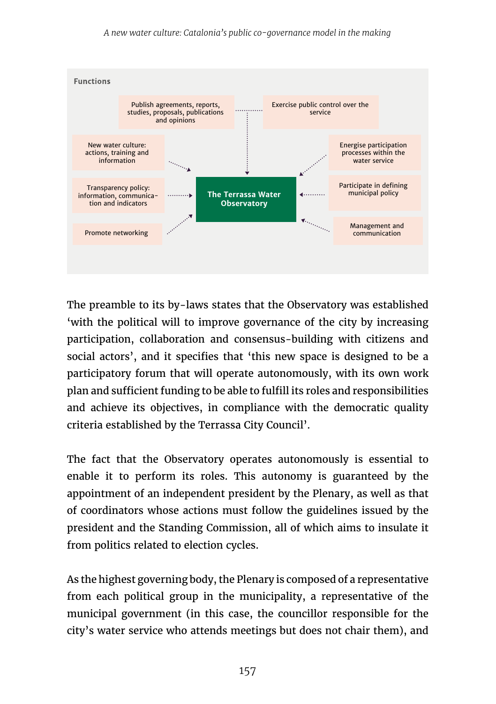

The preamble to its by-laws states that the Observatory was established 'with the political will to improve governance of the city by increasing participation, collaboration and consensus-building with citizens and social actors', and it specifies that 'this new space is designed to be a participatory forum that will operate autonomously, with its own work plan and sufficient funding to be able to fulfill its roles and responsibilities and achieve its objectives, in compliance with the democratic quality criteria established by the Terrassa City Council'.

The fact that the Observatory operates autonomously is essential to enable it to perform its roles. This autonomy is guaranteed by the appointment of an independent president by the Plenary, as well as that of coordinators whose actions must follow the guidelines issued by the president and the Standing Commission, all of which aims to insulate it from politics related to election cycles.

As the highest governing body, the Plenary is composed of a representative from each political group in the municipality, a representative of the municipal government (in this case, the councillor responsible for the city's water service who attends meetings but does not chair them), and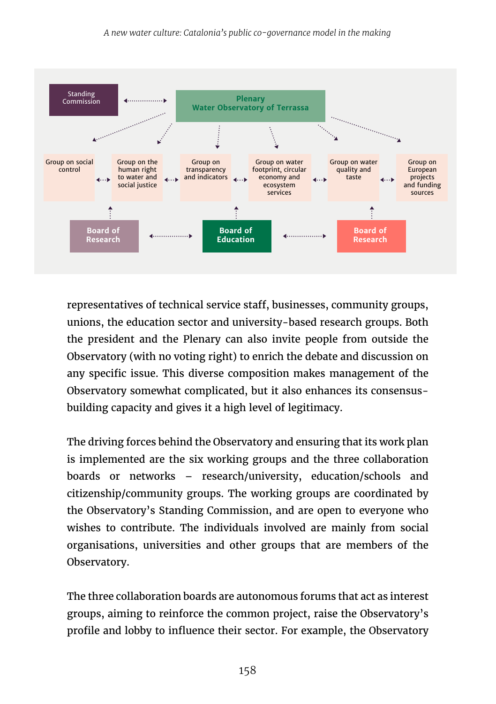

representatives of technical service staff, businesses, community groups, unions, the education sector and university-based research groups. Both the president and the Plenary can also invite people from outside the Observatory (with no voting right) to enrich the debate and discussion on any specific issue. This diverse composition makes management of the Observatory somewhat complicated, but it also enhances its consensusbuilding capacity and gives it a high level of legitimacy.

The driving forces behind the Observatory and ensuring that its work plan is implemented are the six working groups and the three collaboration boards or networks – research/university, education/schools and citizenship/community groups. The working groups are coordinated by the Observatory's Standing Commission, and are open to everyone who wishes to contribute. The individuals involved are mainly from social organisations, universities and other groups that are members of the Observatory.

The three collaboration boards are autonomous forums that act as interest groups, aiming to reinforce the common project, raise the Observatory's profile and lobby to influence their sector. For example, the Observatory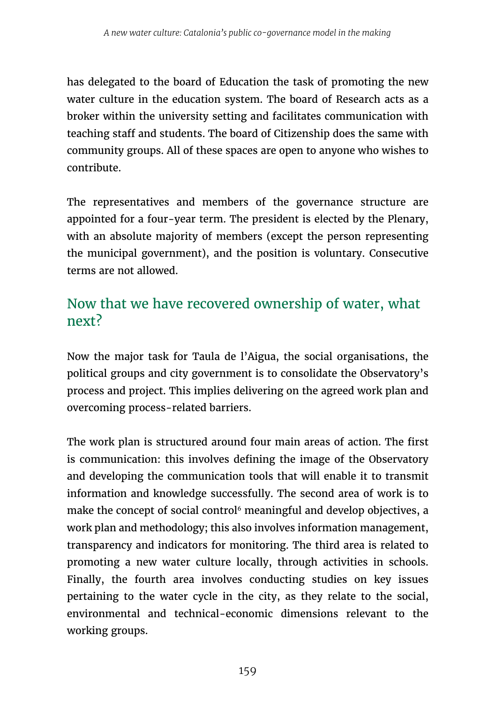has delegated to the board of Education the task of promoting the new water culture in the education system. The board of Research acts as a broker within the university setting and facilitates communication with teaching staff and students. The board of Citizenship does the same with community groups. All of these spaces are open to anyone who wishes to contribute.

The representatives and members of the governance structure are appointed for a four-year term. The president is elected by the Plenary, with an absolute majority of members (except the person representing the municipal government), and the position is voluntary. Consecutive terms are not allowed.

## Now that we have recovered ownership of water, what next?

Now the major task for Taula de l'Aigua, the social organisations, the political groups and city government is to consolidate the Observatory's process and project. This implies delivering on the agreed work plan and overcoming process-related barriers.

The work plan is structured around four main areas of action. The first is communication: this involves defining the image of the Observatory and developing the communication tools that will enable it to transmit information and knowledge successfully. The second area of work is to make the concept of social control<sup>6</sup> meaningful and develop objectives, a work plan and methodology; this also involves information management, transparency and indicators for monitoring. The third area is related to promoting a new water culture locally, through activities in schools. Finally, the fourth area involves conducting studies on key issues pertaining to the water cycle in the city, as they relate to the social, environmental and technical-economic dimensions relevant to the working groups.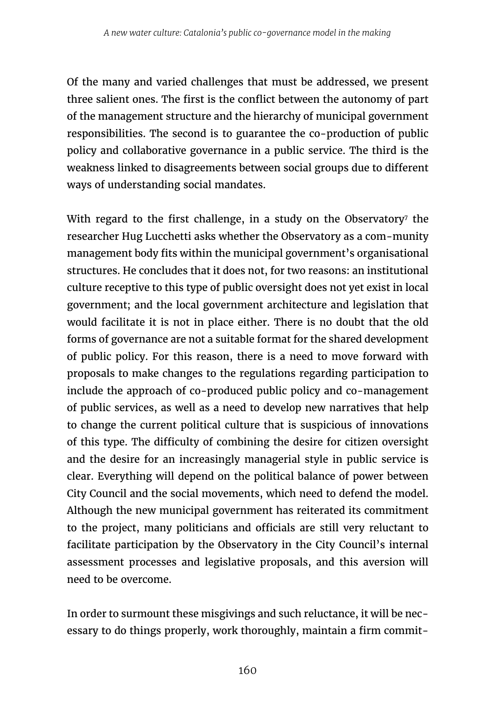Of the many and varied challenges that must be addressed, we present three salient ones. The first is the conflict between the autonomy of part of the management structure and the hierarchy of municipal government responsibilities. The second is to guarantee the co-production of public policy and collaborative governance in a public service. The third is the weakness linked to disagreements between social groups due to different ways of understanding social mandates.

With regard to the first challenge, in a study on the Observatory $^\tau$  the researcher Hug Lucchetti asks whether the Observatory as a com-munity management body fits within the municipal government's organisational structures. He concludes that it does not, for two reasons: an institutional culture receptive to this type of public oversight does not yet exist in local government; and the local government architecture and legislation that would facilitate it is not in place either. There is no doubt that the old forms of governance are not a suitable format for the shared development of public policy. For this reason, there is a need to move forward with proposals to make changes to the regulations regarding participation to include the approach of co-produced public policy and co-management of public services, as well as a need to develop new narratives that help to change the current political culture that is suspicious of innovations of this type. The difficulty of combining the desire for citizen oversight and the desire for an increasingly managerial style in public service is clear. Everything will depend on the political balance of power between City Council and the social movements, which need to defend the model. Although the new municipal government has reiterated its commitment to the project, many politicians and officials are still very reluctant to facilitate participation by the Observatory in the City Council's internal assessment processes and legislative proposals, and this aversion will need to be overcome.

In order to surmount these misgivings and such reluctance, it will be necessary to do things properly, work thoroughly, maintain a firm commit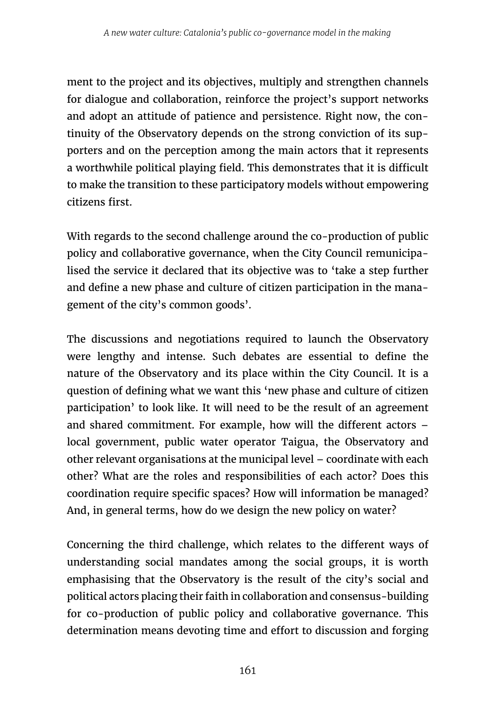ment to the project and its objectives, multiply and strengthen channels for dialogue and collaboration, reinforce the project's support networks and adopt an attitude of patience and persistence. Right now, the continuity of the Observatory depends on the strong conviction of its supporters and on the perception among the main actors that it represents a worthwhile political playing field. This demonstrates that it is difficult to make the transition to these participatory models without empowering citizens first.

With regards to the second challenge around the co-production of public policy and collaborative governance, when the City Council remunicipalised the service it declared that its objective was to 'take a step further and define a new phase and culture of citizen participation in the management of the city's common goods'.

The discussions and negotiations required to launch the Observatory were lengthy and intense. Such debates are essential to define the nature of the Observatory and its place within the City Council. It is a question of defining what we want this 'new phase and culture of citizen participation' to look like. It will need to be the result of an agreement and shared commitment. For example, how will the different actors – local government, public water operator Taigua, the Observatory and other relevant organisations at the municipal level – coordinate with each other? What are the roles and responsibilities of each actor? Does this coordination require specific spaces? How will information be managed? And, in general terms, how do we design the new policy on water?

Concerning the third challenge, which relates to the different ways of understanding social mandates among the social groups, it is worth emphasising that the Observatory is the result of the city's social and political actors placing their faith in collaboration and consensus-building for co-production of public policy and collaborative governance. This determination means devoting time and effort to discussion and forging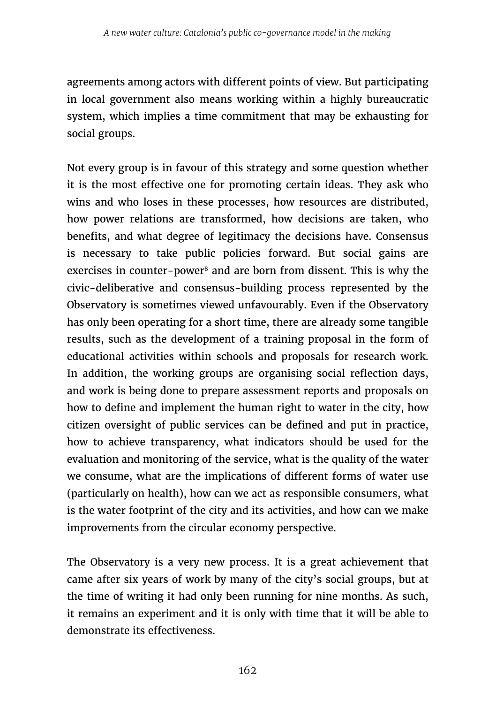agreements among actors with different points of view. But participating in local government also means working within a highly bureaucratic system, which implies a time commitment that may be exhausting for social groups.

Not every group is in favour of this strategy and some question whether it is the most effective one for promoting certain ideas. They ask who wins and who loses in these processes, how resources are distributed, how power relations are transformed, how decisions are taken, who benefits, and what degree of legitimacy the decisions have. Consensus is necessary to take public policies forward. But social gains are exercises in counter-power<sup>8</sup> and are born from dissent. This is why the civic-deliberative and consensus-building process represented by the Observatory is sometimes viewed unfavourably. Even if the Observatory has only been operating for a short time, there are already some tangible results, such as the development of a training proposal in the form of educational activities within schools and proposals for research work. In addition, the working groups are organising social reflection days, and work is being done to prepare assessment reports and proposals on how to define and implement the human right to water in the city, how citizen oversight of public services can be defined and put in practice, how to achieve transparency, what indicators should be used for the evaluation and monitoring of the service, what is the quality of the water we consume, what are the implications of different forms of water use (particularly on health), how can we act as responsible consumers, what is the water footprint of the city and its activities, and how can we make improvements from the circular economy perspective.

The Observatory is a very new process. It is a great achievement that came after six years of work by many of the city's social groups, but at the time of writing it had only been running for nine months. As such, it remains an experiment and it is only with time that it will be able to demonstrate its effectiveness.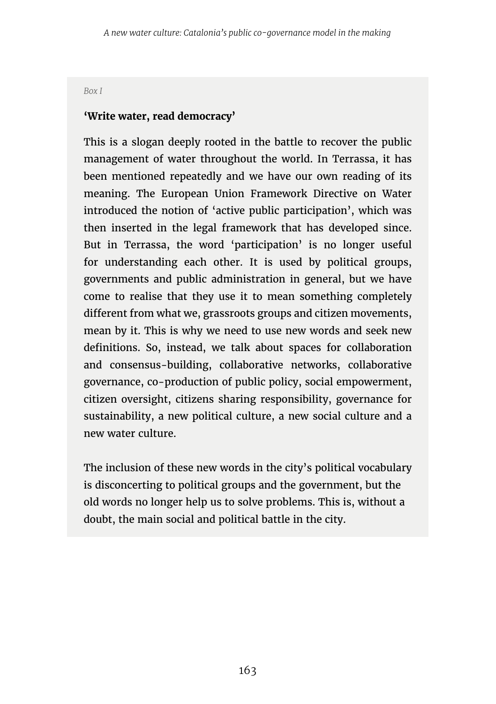*Box I*

#### **'Write water, read democracy'**

This is a slogan deeply rooted in the battle to recover the public management of water throughout the world. In Terrassa, it has been mentioned repeatedly and we have our own reading of its meaning. The European Union Framework Directive on Water introduced the notion of 'active public participation', which was then inserted in the legal framework that has developed since. But in Terrassa, the word 'participation' is no longer useful for understanding each other. It is used by political groups, governments and public administration in general, but we have come to realise that they use it to mean something completely different from what we, grassroots groups and citizen movements, mean by it. This is why we need to use new words and seek new definitions. So, instead, we talk about spaces for collaboration and consensus-building, collaborative networks, collaborative governance, co-production of public policy, social empowerment, citizen oversight, citizens sharing responsibility, governance for sustainability, a new political culture, a new social culture and a new water culture.

The inclusion of these new words in the city's political vocabulary is disconcerting to political groups and the government, but the old words no longer help us to solve problems. This is, without a doubt, the main social and political battle in the city.